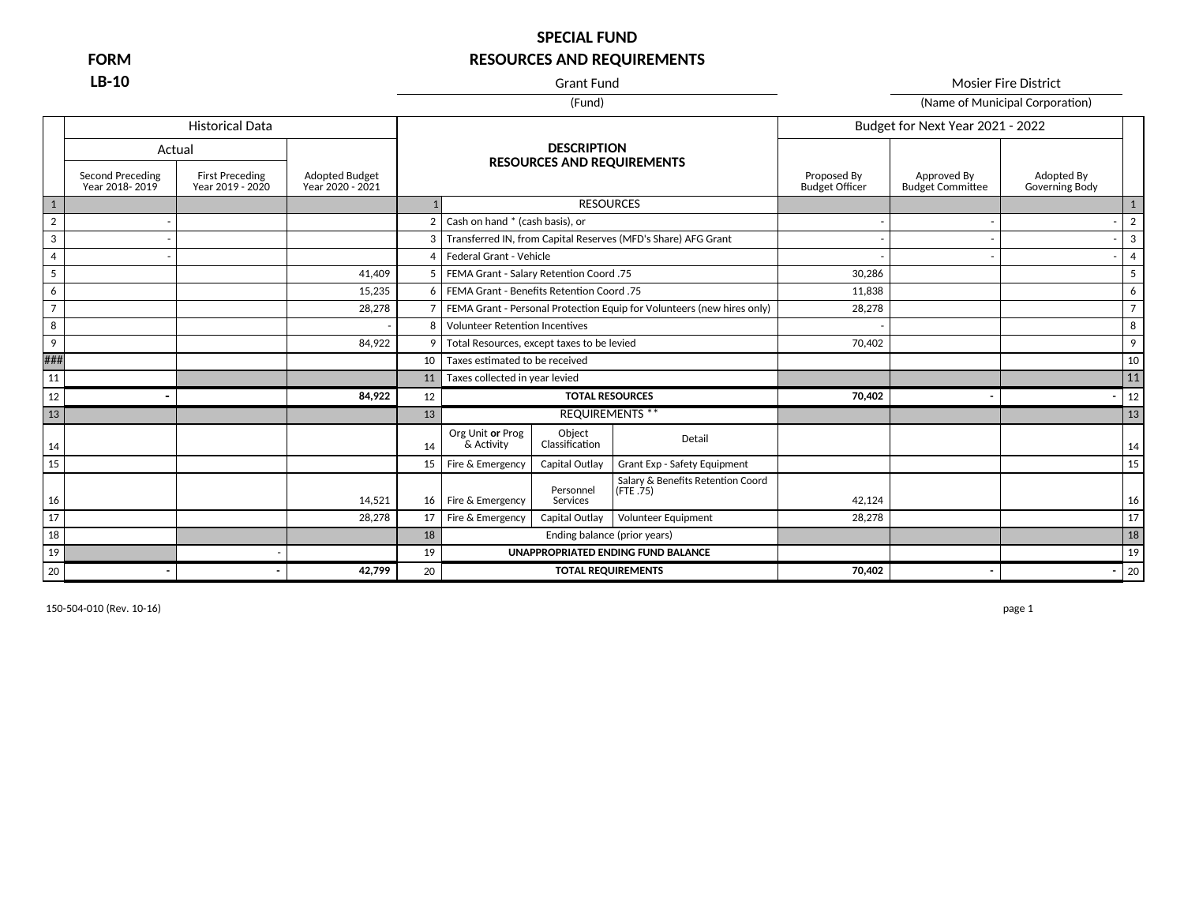**LB-10** Mosier Fire District

| (Name of Municipal Corporation) |
|---------------------------------|
|                                 |

|                |                                           | <b>Historical Data</b>                     |                                           |                 |                                                               |                                                                        |                                      | Budget for Next Year 2021 - 2022       |                              |                |
|----------------|-------------------------------------------|--------------------------------------------|-------------------------------------------|-----------------|---------------------------------------------------------------|------------------------------------------------------------------------|--------------------------------------|----------------------------------------|------------------------------|----------------|
|                | Actual                                    |                                            |                                           |                 | <b>DESCRIPTION</b>                                            |                                                                        |                                      |                                        |                              |                |
|                | <b>Second Preceding</b><br>Year 2018-2019 | <b>First Preceding</b><br>Year 2019 - 2020 | <b>Adopted Budget</b><br>Year 2020 - 2021 |                 | <b>RESOURCES AND REQUIREMENTS</b>                             |                                                                        | Proposed By<br><b>Budget Officer</b> | Approved By<br><b>Budget Committee</b> | Adopted By<br>Governing Body |                |
| $\mathbf{1}$   |                                           |                                            |                                           |                 |                                                               | <b>RESOURCES</b>                                                       |                                      |                                        |                              |                |
| $\overline{2}$ |                                           |                                            |                                           | $\overline{2}$  | Cash on hand * (cash basis), or                               |                                                                        |                                      |                                        |                              | $\overline{2}$ |
| 3              |                                           |                                            |                                           | 3               | Transferred IN, from Capital Reserves (MFD's Share) AFG Grant |                                                                        |                                      |                                        |                              | 3              |
| $\overline{4}$ |                                           |                                            |                                           | 4               | Federal Grant - Vehicle                                       |                                                                        |                                      |                                        |                              | $\overline{4}$ |
| 5              |                                           |                                            | 41.409                                    | 5               | FEMA Grant - Salary Retention Coord .75                       |                                                                        | 30.286                               |                                        |                              | 5              |
| 6              |                                           |                                            | 15.235                                    | 6               | FEMA Grant - Benefits Retention Coord .75                     |                                                                        | 11.838                               |                                        |                              | 6              |
| $\overline{7}$ |                                           |                                            | 28.278                                    | 7               |                                                               | FEMA Grant - Personal Protection Equip for Volunteers (new hires only) | 28,278                               |                                        |                              | $\overline{7}$ |
| 8              |                                           |                                            |                                           | 8               | <b>Volunteer Retention Incentives</b>                         |                                                                        |                                      |                                        |                              | 8              |
| 9              |                                           |                                            | 84,922                                    | 9               | Total Resources, except taxes to be levied                    |                                                                        | 70,402                               |                                        |                              | 9              |
| ###            |                                           |                                            |                                           | 10              | Taxes estimated to be received                                |                                                                        |                                      |                                        |                              | 10             |
| 11             |                                           |                                            |                                           | 11              | Taxes collected in year levied                                |                                                                        |                                      |                                        |                              | 11             |
| 12             |                                           |                                            | 84,922                                    | 12              |                                                               | <b>TOTAL RESOURCES</b>                                                 | 70,402                               |                                        |                              | 12             |
| 13             |                                           |                                            |                                           | 13              |                                                               | <b>REQUIREMENTS **</b>                                                 |                                      |                                        |                              | 13             |
| 14             |                                           |                                            |                                           | 14              | Org Unit or Prog<br>Object<br>Classification<br>& Activity    | Detail                                                                 |                                      |                                        |                              | 14             |
| 15             |                                           |                                            |                                           | 15 <sup>1</sup> | Fire & Emergency<br>Capital Outlay                            | Grant Exp - Safety Equipment                                           |                                      |                                        |                              | 15             |
| 16             |                                           |                                            | 14,521                                    | 16              | Personnel<br>Fire & Emergency<br>Services                     | Salary & Benefits Retention Coord<br>(FTE.75)                          | 42,124                               |                                        |                              | 16             |
| 17             |                                           |                                            | 28,278                                    | 17              | Fire & Emergency<br>Capital Outlay                            | Volunteer Equipment                                                    | 28,278                               |                                        |                              | 17             |
| 18             |                                           |                                            |                                           | 18              |                                                               | Ending balance (prior years)                                           |                                      |                                        |                              | 18             |
| 19             |                                           |                                            |                                           | 19              |                                                               | UNAPPROPRIATED ENDING FUND BALANCE                                     |                                      |                                        |                              | 19             |
| 20             |                                           |                                            | 42,799                                    | 20              |                                                               | <b>TOTAL REQUIREMENTS</b>                                              | 70,402                               |                                        |                              | 20             |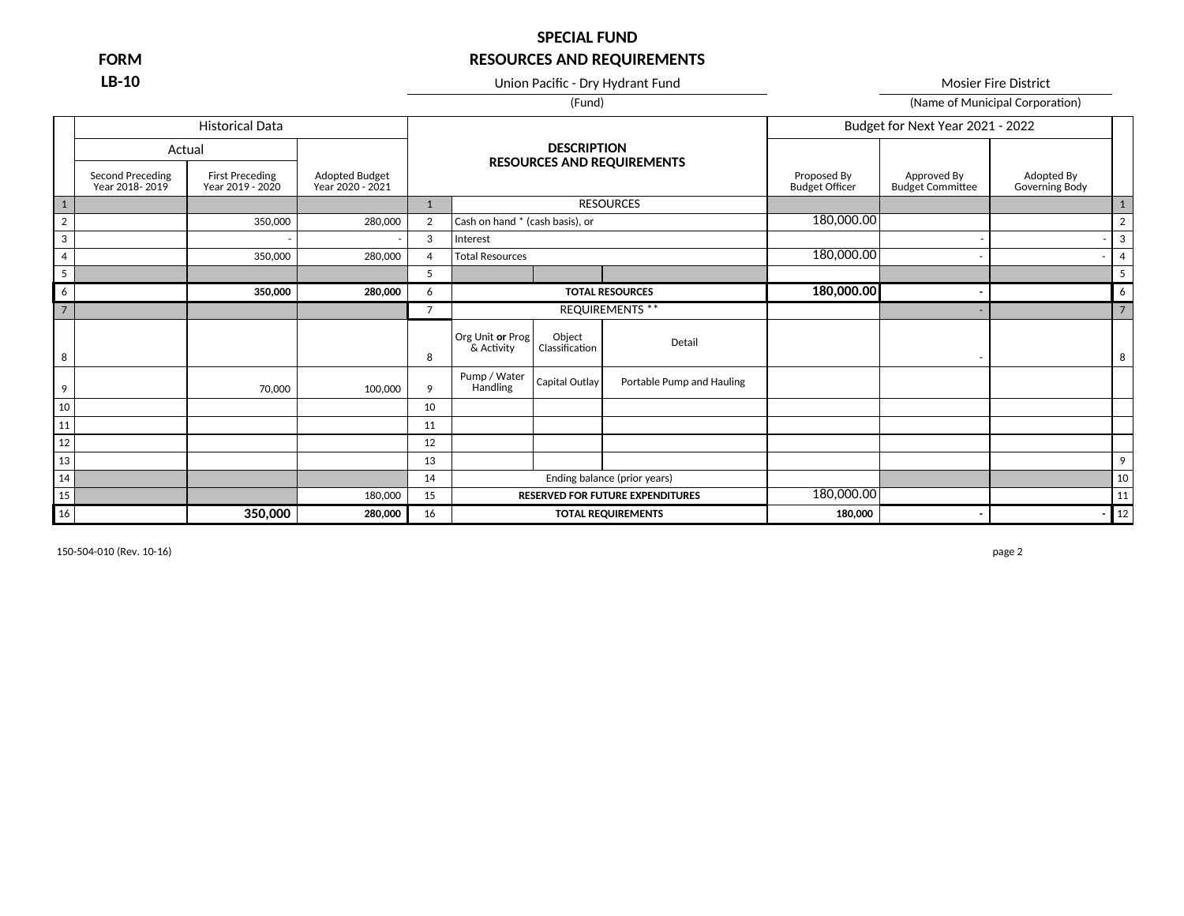**LB-10** Union Pacific - Dry Hydrant Fund Mosier Fire District Mosier Fire District

(Fund) (Fund) (Name of Municipal Corporation)

|                 |                                    | <b>Historical Data</b>                     |                                    |                |                                 |                          |                                         |                                      | Budget for Next Year 2021 - 2022       |                              |                |
|-----------------|------------------------------------|--------------------------------------------|------------------------------------|----------------|---------------------------------|--------------------------|-----------------------------------------|--------------------------------------|----------------------------------------|------------------------------|----------------|
|                 | Actual                             |                                            |                                    |                |                                 | <b>DESCRIPTION</b>       | <b>RESOURCES AND REQUIREMENTS</b>       |                                      |                                        |                              |                |
|                 | Second Preceding<br>Year 2018-2019 | <b>First Preceding</b><br>Year 2019 - 2020 | Adopted Budget<br>Year 2020 - 2021 |                |                                 |                          |                                         | Proposed By<br><b>Budget Officer</b> | Approved By<br><b>Budget Committee</b> | Adopted By<br>Governing Body |                |
| $1\,$           |                                    |                                            |                                    | $\mathbf{1}$   |                                 |                          | <b>RESOURCES</b>                        |                                      |                                        |                              | 1              |
| $\overline{2}$  |                                    | 350,000                                    | 280,000                            | $\overline{2}$ | Cash on hand * (cash basis), or |                          |                                         | 180,000.00                           |                                        |                              | $\overline{2}$ |
| 3               |                                    |                                            |                                    | 3              | Interest                        |                          |                                         |                                      |                                        |                              | 3              |
| $\overline{4}$  |                                    | 350,000                                    | 280,000                            | 4              | <b>Total Resources</b>          |                          |                                         | 180,000.00                           |                                        |                              | $\overline{4}$ |
| $5\phantom{.0}$ |                                    |                                            |                                    | 5              |                                 |                          |                                         |                                      |                                        |                              | 5              |
| 6               |                                    | 350,000                                    | 280,000                            | 6              |                                 |                          | <b>TOTAL RESOURCES</b>                  | 180,000.00                           | ٠                                      |                              | 6              |
| $\overline{7}$  |                                    |                                            |                                    | $\overline{7}$ |                                 |                          | <b>REQUIREMENTS **</b>                  |                                      |                                        |                              | $\overline{7}$ |
| 8               |                                    |                                            |                                    | 8              | Org Unit or Prog<br>& Activity  | Object<br>Classification | Detail                                  |                                      | ٠.                                     |                              | 8              |
| 9               |                                    | 70,000                                     | 100,000                            | 9              | Pump / Water<br>Handling        | Capital Outlay           | Portable Pump and Hauling               |                                      |                                        |                              |                |
| $10\,$          |                                    |                                            |                                    | 10             |                                 |                          |                                         |                                      |                                        |                              |                |
| 11              |                                    |                                            |                                    | 11             |                                 |                          |                                         |                                      |                                        |                              |                |
| 12              |                                    |                                            |                                    | 12             |                                 |                          |                                         |                                      |                                        |                              |                |
| 13              |                                    |                                            |                                    | 13             |                                 |                          |                                         |                                      |                                        |                              | 9              |
| 14              |                                    |                                            |                                    | 14             | Ending balance (prior years)    |                          |                                         |                                      |                                        |                              | 10             |
| 15              |                                    |                                            | 180,000                            | 15             |                                 |                          | <b>RESERVED FOR FUTURE EXPENDITURES</b> | 180,000.00                           |                                        |                              | 11             |
| 16              |                                    | 350,000                                    | 280,000                            | 16             |                                 |                          | <b>TOTAL REQUIREMENTS</b>               | 180,000                              |                                        |                              | 12             |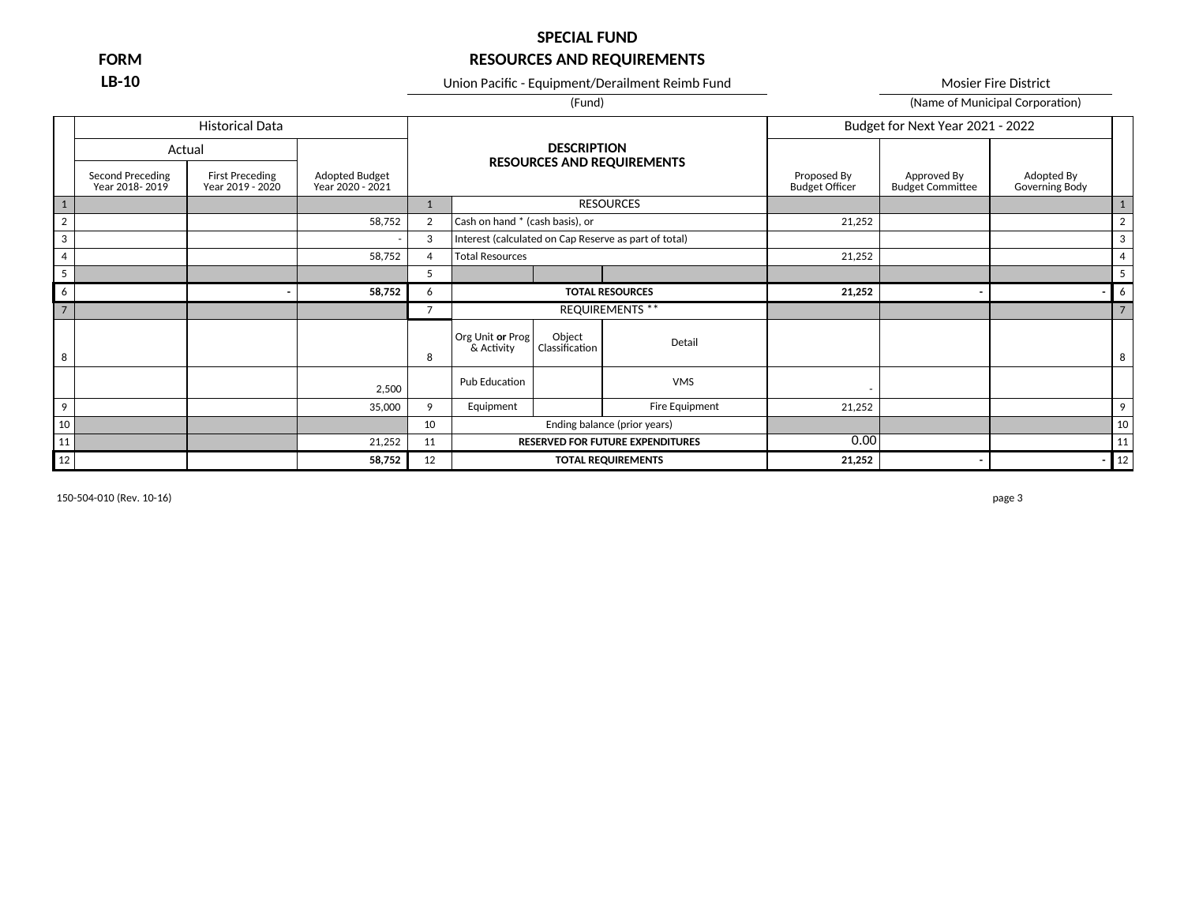### **SPECIAL FUND**

## **FORM RESOURCES AND REQUIREMENTS**

**LB-10** Union Pacific - Equipment/Derailment Reimb Fund Mosier Fire District

(Fund) (Name of Municipal Corporation)

### Historical Data Budget for Next Year 2021 - 2022 Actual 1 1 RESOURCES 1 2 2 58,752 2 Cash on hand \* (cash basis), or 21,252 2 2  $\frac{1}{2}$ 3 - 3 Interest (calculated on Cap Reserve as part of total) 3 4 58,752 4 Total Resources 21,252 4 5 5 5 6 **- 58,752** 6 **TOTAL RESOURCES 21,252 - -** 6 7 7 REQUIREMENTS \*\* 7 8 | 8 Detail 8  $2,500$  Pub Education  $\overline{\phantom{a}}$  Pub Education  $\overline{\phantom{a}}$ 9 35,000 9 Equipment Fire Equipment 21,252 9 10 10 Ending balance (prior years) 10 11 21,252 11 **RESERVED FOR FUTURE EXPENDITURES** 0.00 0 11 11 12 **58,752** 12 **TOTAL REQUIREMENTS 21,252 - -** 12 **DESCRIPTION RESOURCES AND REQUIREMENTS** Adopted Budget Year 2020 - 2021 Proposed By<br>Budget Officer Approved By<br>Budget Committee Adopted By Governing Body Second Preceding Year 2018- 2019 First Preceding Year 2019 - 2020 Org Unit **or** Prog & Activity Object<br>Classification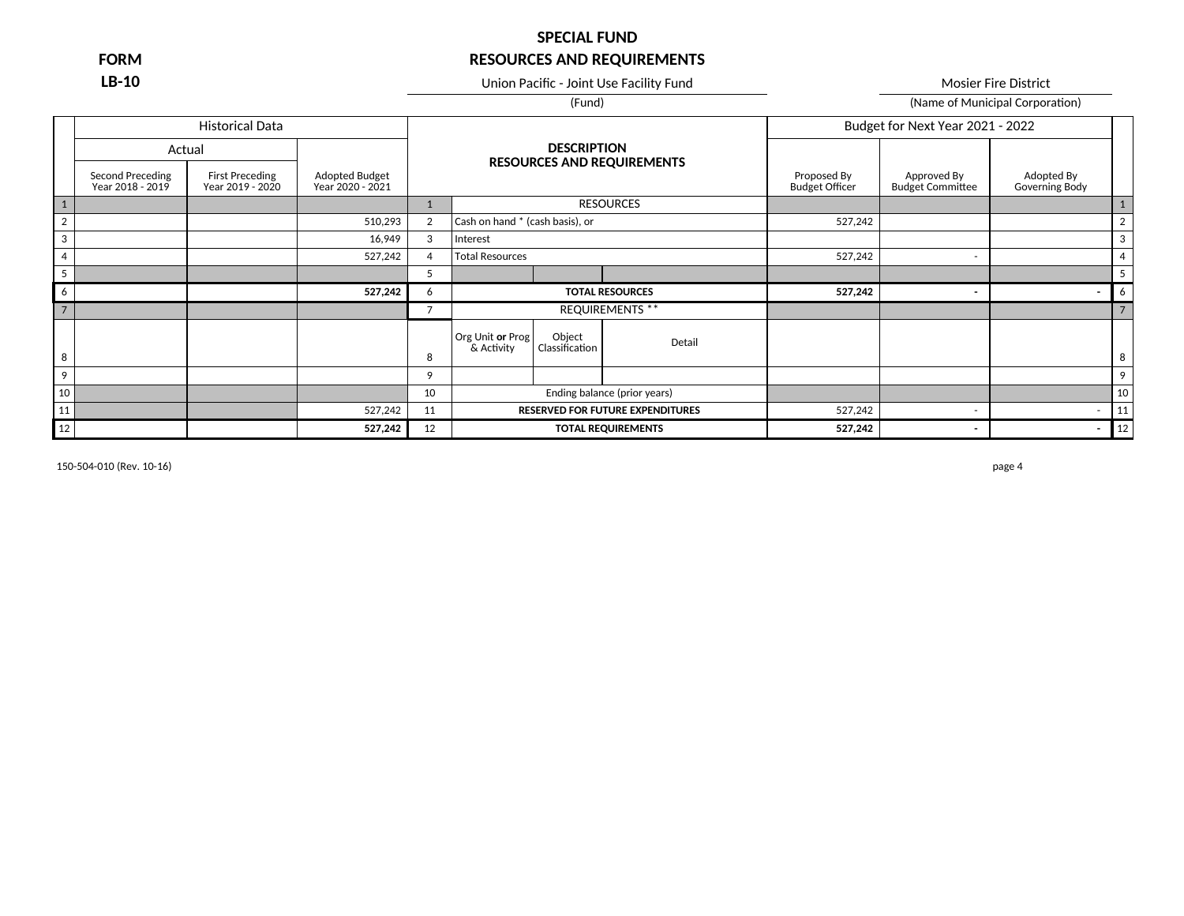**LB-10** Union Pacific - Joint Use Facility Fund Mosier Fire District

(Fund) (Fund) (Name of Municipal Corporation)

|                |                                      | <b>Historical Data</b>              |                                    |                |                                 |                          |                                         |                                      | Budget for Next Year 2021 - 2022       |                              |                |
|----------------|--------------------------------------|-------------------------------------|------------------------------------|----------------|---------------------------------|--------------------------|-----------------------------------------|--------------------------------------|----------------------------------------|------------------------------|----------------|
|                |                                      | Actual                              |                                    |                |                                 | <b>DESCRIPTION</b>       | <b>RESOURCES AND REQUIREMENTS</b>       |                                      |                                        |                              |                |
|                | Second Preceding<br>Year 2018 - 2019 | First Preceding<br>Year 2019 - 2020 | Adopted Budget<br>Year 2020 - 2021 |                |                                 |                          |                                         | Proposed By<br><b>Budget Officer</b> | Approved By<br><b>Budget Committee</b> | Adopted By<br>Governing Body |                |
|                |                                      |                                     |                                    |                |                                 |                          | <b>RESOURCES</b>                        |                                      |                                        |                              |                |
| $\overline{2}$ |                                      |                                     | 510,293                            | $\overline{2}$ | Cash on hand * (cash basis), or |                          |                                         | 527,242                              |                                        |                              | $\overline{2}$ |
| 3              |                                      |                                     | 16,949                             | 3              | Interest                        |                          |                                         |                                      |                                        |                              | 3              |
| $\overline{4}$ |                                      |                                     | 527,242                            | $\overline{4}$ | <b>Total Resources</b>          |                          |                                         | 527,242                              | $\overline{\phantom{0}}$               |                              | $\overline{4}$ |
|                |                                      |                                     |                                    | 5              |                                 |                          |                                         |                                      |                                        |                              | 5              |
| 6              |                                      |                                     | 527,242                            | 6              |                                 |                          | <b>TOTAL RESOURCES</b>                  | 527,242                              | $\overline{\phantom{a}}$               |                              | 6              |
| $\overline{7}$ |                                      |                                     |                                    | 7              |                                 |                          | <b>REQUIREMENTS **</b>                  |                                      |                                        |                              |                |
|                |                                      |                                     |                                    |                | Org Unit or Prog<br>& Activity  | Object<br>Classification | Detail                                  |                                      |                                        |                              |                |
| 8              |                                      |                                     |                                    | 8              |                                 |                          |                                         |                                      |                                        |                              | 8              |
| 9              |                                      |                                     |                                    | 9              |                                 |                          |                                         |                                      |                                        |                              | 9              |
| 10             |                                      |                                     |                                    | 10             |                                 |                          | Ending balance (prior years)            |                                      |                                        |                              | 10             |
| 11             |                                      |                                     | 527,242                            | 11             |                                 |                          | <b>RESERVED FOR FUTURE EXPENDITURES</b> | 527,242                              | $\overline{\phantom{a}}$               | $\overline{\phantom{a}}$     | 11             |
| 12             |                                      |                                     | 527,242                            | 12             |                                 |                          | <b>TOTAL REQUIREMENTS</b>               | 527,242                              | $\overline{\phantom{a}}$               | $\overline{\phantom{a}}$     | 12             |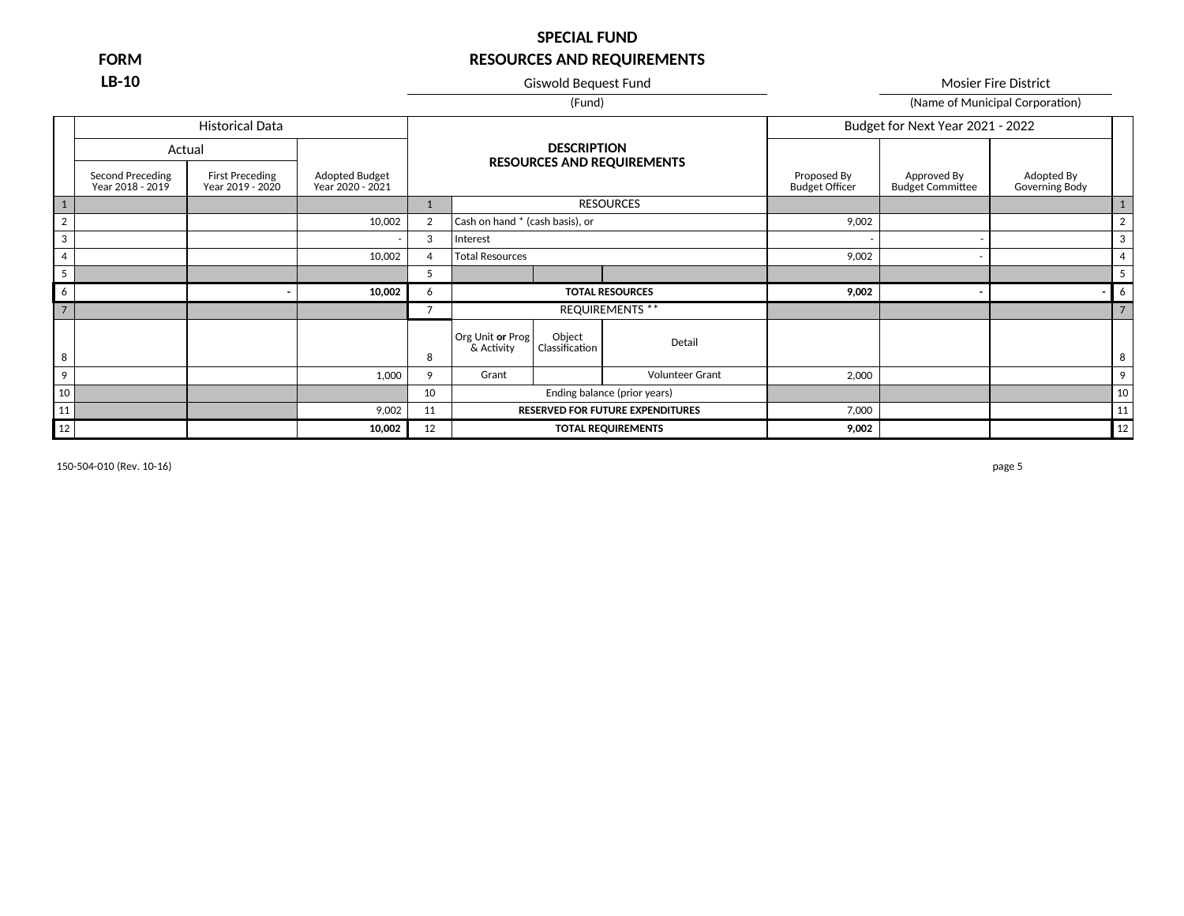**LB-10** Giswold Bequest Fund Giswold Bequest Fund Mosier Fire District

(Fund) (Fund) (Name of Municipal Corporation)

|                |                                             | <b>Historical Data</b>                     |                                    |                |                                 |                          |                                         |                                      | Budget for Next Year 2021 - 2022       |                                     |                |
|----------------|---------------------------------------------|--------------------------------------------|------------------------------------|----------------|---------------------------------|--------------------------|-----------------------------------------|--------------------------------------|----------------------------------------|-------------------------------------|----------------|
|                | Actual                                      |                                            |                                    |                |                                 | <b>DESCRIPTION</b>       |                                         |                                      |                                        |                                     |                |
|                | <b>Second Preceding</b><br>Year 2018 - 2019 | <b>First Preceding</b><br>Year 2019 - 2020 | Adopted Budget<br>Year 2020 - 2021 |                |                                 |                          | <b>RESOURCES AND REQUIREMENTS</b>       | Proposed By<br><b>Budget Officer</b> | Approved By<br><b>Budget Committee</b> | Adopted By<br><b>Governing Body</b> |                |
| $1\,$          |                                             |                                            |                                    |                |                                 |                          | <b>RESOURCES</b>                        |                                      |                                        |                                     |                |
| $\overline{2}$ |                                             |                                            | 10,002                             | 2              | Cash on hand * (cash basis), or |                          |                                         | 9,002                                |                                        |                                     | $\overline{2}$ |
| 3              |                                             |                                            |                                    | 3              | Interest                        |                          |                                         |                                      |                                        |                                     | 3              |
| $\overline{4}$ |                                             |                                            | 10,002                             | $\overline{a}$ | <b>Total Resources</b>          |                          |                                         | 9,002                                | $\overline{\phantom{a}}$               |                                     |                |
| 5              |                                             |                                            |                                    | 5              |                                 |                          |                                         |                                      |                                        |                                     |                |
| 6              |                                             |                                            | 10,002                             | 6              |                                 |                          | <b>TOTAL RESOURCES</b>                  | 9,002                                | ۰                                      |                                     | 6              |
| $\overline{7}$ |                                             |                                            |                                    | $\overline{7}$ |                                 |                          | <b>REQUIREMENTS **</b>                  |                                      |                                        |                                     |                |
|                |                                             |                                            |                                    |                | Org Unit or Prog<br>& Activity  | Object<br>Classification | Detail                                  |                                      |                                        |                                     |                |
| 8              |                                             |                                            |                                    | 8              |                                 |                          |                                         |                                      |                                        |                                     | 8              |
| 9              |                                             |                                            | 1,000                              | 9              | Grant                           |                          | <b>Volunteer Grant</b>                  | 2,000                                |                                        |                                     | 9              |
| 10             |                                             |                                            |                                    | 10             |                                 |                          | Ending balance (prior years)            |                                      |                                        |                                     | 10             |
| 11             |                                             |                                            | 9,002                              | 11             |                                 |                          | <b>RESERVED FOR FUTURE EXPENDITURES</b> | 7,000                                |                                        |                                     | 11             |
| 12             |                                             |                                            | 10,002                             | 12             |                                 |                          | <b>TOTAL REQUIREMENTS</b>               | 9,002                                |                                        |                                     | 12             |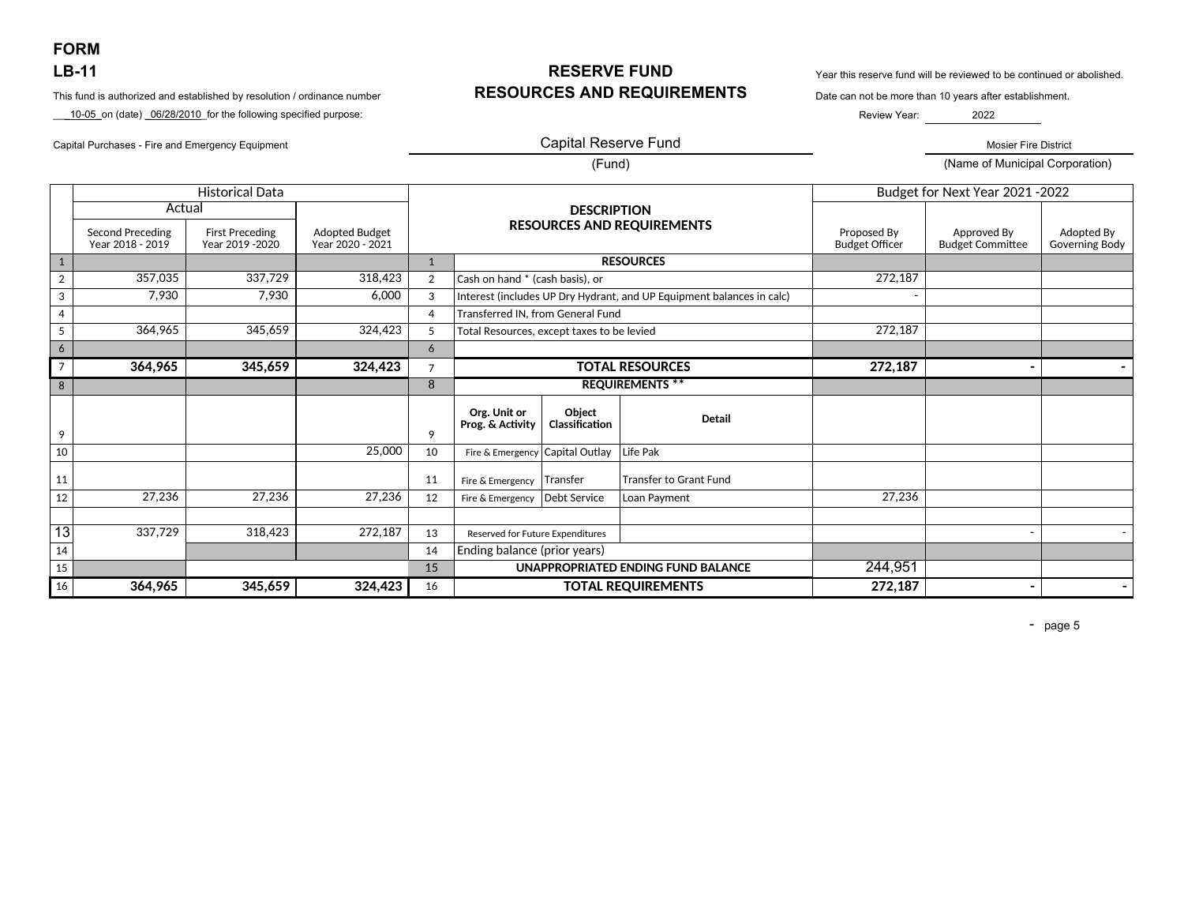**FORM** 

\_\_\_10-05\_on (date) \_06/28/2010\_for the following specified purpose:

Capital Purchases - Fire and Emergency Equipment Mosier Fire District November 2012 12:00 Capital Reserve Fund

## **LB-11 RESERVE FUND** Year this reserve fund will be reviewed to be continued or abolished. This fund is authorized and established by resolution / ordinance number **RESOURCES AND REQUIREMENTS** Date can not be more than 10 years after establishment.

Review Year: 2022

### Capital Reserve Fund

(Fund) (Name of Municipal Corporation)

|                 |                                             | <b>Historical Data</b>                     |                                           |                |                                            |                                                                       |                                   |                                      | Budget for Next Year 2021 - 2022       |                              |
|-----------------|---------------------------------------------|--------------------------------------------|-------------------------------------------|----------------|--------------------------------------------|-----------------------------------------------------------------------|-----------------------------------|--------------------------------------|----------------------------------------|------------------------------|
|                 | Actual                                      |                                            |                                           |                |                                            | <b>DESCRIPTION</b>                                                    |                                   |                                      |                                        |                              |
|                 | <b>Second Preceding</b><br>Year 2018 - 2019 | <b>First Preceding</b><br>Year 2019 - 2020 | <b>Adopted Budget</b><br>Year 2020 - 2021 |                |                                            |                                                                       | <b>RESOURCES AND REQUIREMENTS</b> | Proposed By<br><b>Budget Officer</b> | Approved By<br><b>Budget Committee</b> | Adopted By<br>Governing Body |
| $\mathbf{1}$    |                                             |                                            |                                           | $\mathbf{1}$   |                                            |                                                                       | <b>RESOURCES</b>                  |                                      |                                        |                              |
| $\overline{2}$  | 357,035                                     | 337,729                                    | 318,423                                   | $\overline{2}$ | Cash on hand * (cash basis), or            |                                                                       |                                   | 272,187                              |                                        |                              |
| 3               | 7,930                                       | 7,930                                      | 6,000                                     | 3              |                                            | Interest (includes UP Dry Hydrant, and UP Equipment balances in calc) |                                   |                                      |                                        |                              |
| $\overline{4}$  |                                             |                                            |                                           | 4              |                                            | <b>Transferred IN, from General Fund</b>                              |                                   |                                      |                                        |                              |
| $\overline{5}$  | 364,965                                     | 345,659                                    | 324,423                                   | 5              | Total Resources, except taxes to be levied |                                                                       |                                   | 272,187                              |                                        |                              |
| 6               |                                             |                                            |                                           | 6              |                                            |                                                                       |                                   |                                      |                                        |                              |
| $\overline{7}$  | 364,965                                     | 345,659                                    | 324,423                                   | $\overline{7}$ |                                            |                                                                       | <b>TOTAL RESOURCES</b>            | 272,187                              |                                        |                              |
| 8               |                                             |                                            |                                           | 8              |                                            |                                                                       | <b>REQUIREMENTS **</b>            |                                      |                                        |                              |
| 9               |                                             |                                            |                                           | 9              | Org. Unit or<br>Prog. & Activity           | Obiect<br>Classification                                              | <b>Detail</b>                     |                                      |                                        |                              |
| 10              |                                             |                                            | 25,000                                    | 10             | Fire & Emergency Capital Outlay            |                                                                       | Life Pak                          |                                      |                                        |                              |
| 11              |                                             |                                            |                                           | 11             | Fire & Emergency                           | Transfer                                                              | <b>Transfer to Grant Fund</b>     |                                      |                                        |                              |
| 12              | 27,236                                      | 27,236                                     | 27,236                                    | 12             | Fire & Emergency                           | Debt Service                                                          | Loan Payment                      | 27,236                               |                                        |                              |
| $\overline{13}$ | 337,729                                     | 318,423                                    | 272,187                                   | 13             | Reserved for Future Expenditures           |                                                                       |                                   |                                      |                                        |                              |
| 14              |                                             |                                            |                                           | 14             | Ending balance (prior years)               |                                                                       |                                   |                                      |                                        |                              |
| 15              |                                             |                                            |                                           | 15             |                                            | UNAPPROPRIATED ENDING FUND BALANCE                                    |                                   |                                      |                                        |                              |
| 16              | 364,965                                     | 345,659                                    | 324,423                                   | 16             |                                            |                                                                       | <b>TOTAL REQUIREMENTS</b>         | 244,951<br>272,187                   | -                                      |                              |

- page 5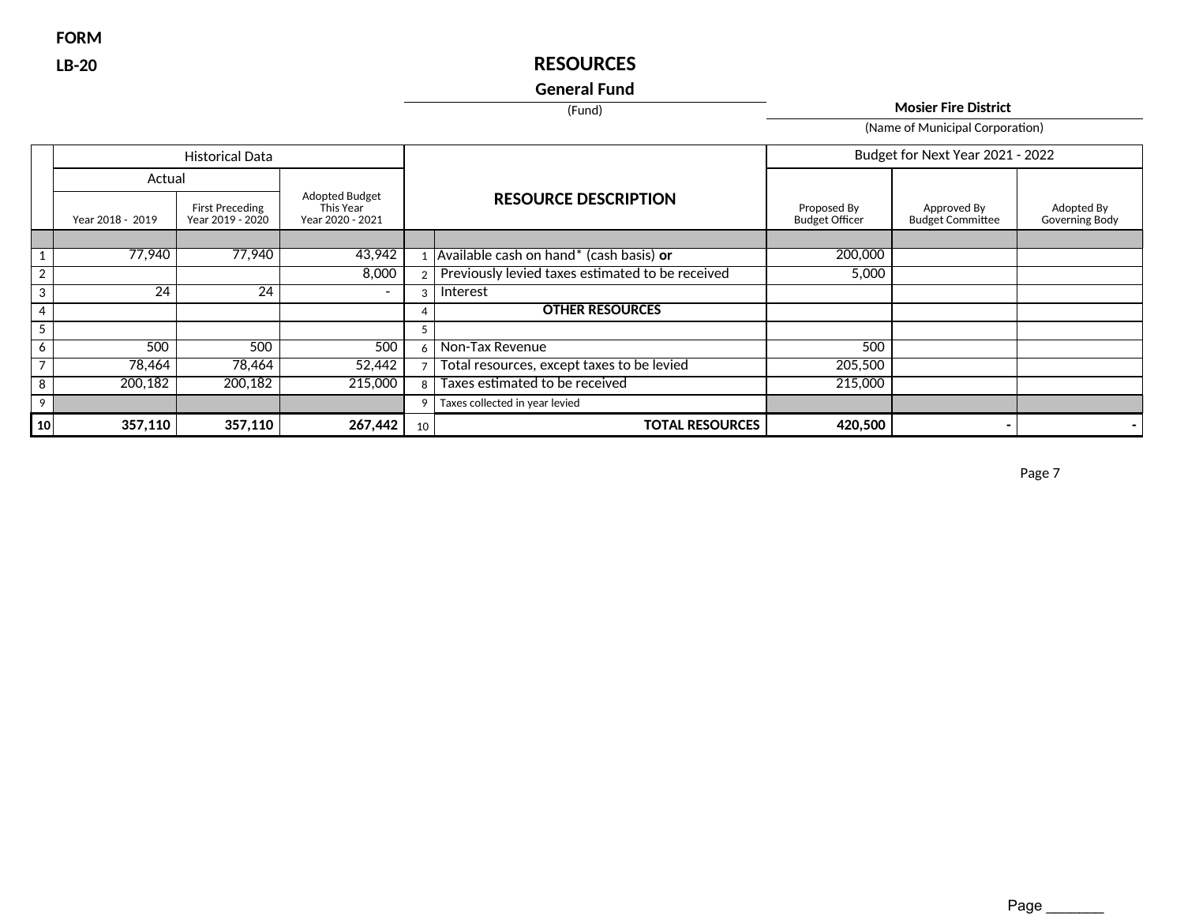**FORM**

# **LB-20 RESOURCES**

## **General Fund**

(Fund) **Mosier Fire District**

(Name of Municipal Corporation)

|                 | <b>Historical Data</b> |                                            |                                                 |    |                                                  |                                      | Budget for Next Year 2021 - 2022       |                              |
|-----------------|------------------------|--------------------------------------------|-------------------------------------------------|----|--------------------------------------------------|--------------------------------------|----------------------------------------|------------------------------|
|                 | Actual                 |                                            |                                                 |    |                                                  |                                      |                                        |                              |
|                 | Year 2018 - 2019       | <b>First Preceding</b><br>Year 2019 - 2020 | Adopted Budget<br>This Year<br>Year 2020 - 2021 |    | <b>RESOURCE DESCRIPTION</b>                      | Proposed By<br><b>Budget Officer</b> | Approved By<br><b>Budget Committee</b> | Adopted By<br>Governing Body |
|                 |                        |                                            |                                                 |    |                                                  |                                      |                                        |                              |
|                 | 77,940                 | 77,940                                     | 43,942                                          |    | Available cash on hand* (cash basis) or          | 200,000                              |                                        |                              |
| $\overline{2}$  |                        |                                            | 8,000                                           |    | Previously levied taxes estimated to be received | 5,000                                |                                        |                              |
| 3               | $2\overline{4}$        | $2\overline{4}$                            | $\overline{\phantom{0}}$                        | 3  | Interest                                         |                                      |                                        |                              |
| 4               |                        |                                            |                                                 |    | <b>OTHER RESOURCES</b>                           |                                      |                                        |                              |
| 5               |                        |                                            |                                                 | 5  |                                                  |                                      |                                        |                              |
| 6               | 500                    | 500                                        | 500                                             | 6  | Non-Tax Revenue                                  | 500                                  |                                        |                              |
|                 | 78,464                 | 78,464                                     | 52,442                                          |    | Total resources, except taxes to be levied       | 205,500                              |                                        |                              |
| 8               | 200,182                | 200,182                                    | 215,000                                         | 8  | Taxes estimated to be received                   | 215,000                              |                                        |                              |
| 9               |                        |                                            |                                                 | 9  | Taxes collected in year levied                   |                                      |                                        |                              |
| 10 <sup>1</sup> | 357,110                | 357,110                                    | 267,442                                         | 10 | <b>TOTAL RESOURCES</b>                           | 420,500                              |                                        |                              |

Page 7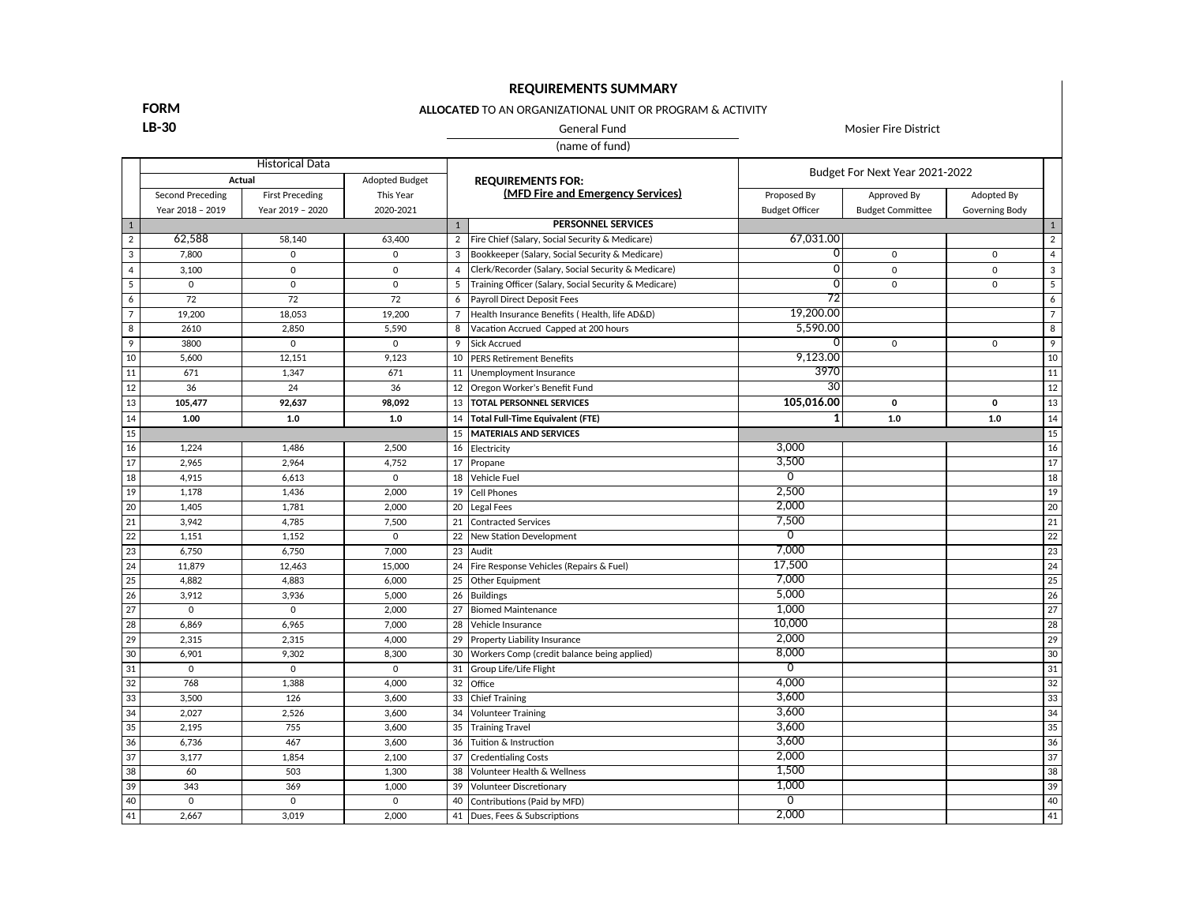## **REQUIREMENTS SUMMARY**

### **ALLOCATED** TO AN ORGANIZATIONAL UNIT OR PROGRAM & ACTIVITY

**LB-30** General Fund General Fund Mosier Fire District

(name of fund)

|                 | <b>Historical Data</b>          |                        |             |                          |                                                       |                                |                         |                |                 |
|-----------------|---------------------------------|------------------------|-------------|--------------------------|-------------------------------------------------------|--------------------------------|-------------------------|----------------|-----------------|
|                 | Actual<br><b>Adopted Budget</b> |                        |             | <b>REQUIREMENTS FOR:</b> |                                                       | Budget For Next Year 2021-2022 |                         |                |                 |
|                 | <b>Second Preceding</b>         | <b>First Preceding</b> | This Year   |                          | (MFD Fire and Emergency Services)                     | Proposed By                    | Approved By             | Adopted By     |                 |
|                 | Year 2018 - 2019                | Year 2019 - 2020       | 2020-2021   |                          |                                                       | <b>Budget Officer</b>          | <b>Budget Committee</b> | Governing Body |                 |
| $\mathbf{1}$    |                                 |                        |             | $\mathbf{1}$             | <b>PERSONNEL SERVICES</b>                             |                                |                         |                | $\mathbf{1}$    |
| $\overline{2}$  | 62,588                          | 58.140                 | 63,400      | $\overline{2}$           | Fire Chief (Salary, Social Security & Medicare)       | 67,031.00                      |                         |                | $\overline{2}$  |
| 3               | 7,800                           | $\Omega$               | $\mathbf 0$ | 3                        | Bookkeeper (Salary, Social Security & Medicare)       | $\mathbf 0$                    | $\mathbf 0$             | $\mathbf 0$    | $\overline{4}$  |
| $\overline{4}$  | 3.100                           | $\Omega$               | $\mathbf 0$ | $\overline{4}$           | Clerk/Recorder (Salary, Social Security & Medicare)   | $\overline{0}$                 | $\Omega$                | $\mathbf 0$    | 3               |
| $\overline{5}$  | $\mathbf 0$                     | $\Omega$               | $\mathbf 0$ | 5                        | Training Officer (Salary, Social Security & Medicare) | $\Omega$                       | $\mathbf 0$             | $\mathbf 0$    | $5\overline{)}$ |
| 6               | 72                              | 72                     | 72          | 6                        | Payroll Direct Deposit Fees                           | $\overline{72}$                |                         |                | 6               |
| $\overline{7}$  | 19,200                          | 18.053                 | 19,200      | $\overline{7}$           | Health Insurance Benefits (Health, life AD&D)         | 19,200.00                      |                         |                | $\overline{7}$  |
| 8               | 2610                            | 2,850                  | 5,590       | 8                        | Vacation Accrued Capped at 200 hours                  | 5,590.00                       |                         |                | 8               |
| 9               | 3800                            | $\mathbf 0$            | $\mathbf 0$ | 9                        | <b>Sick Accrued</b>                                   | O                              | $\mathbf 0$             | $\Omega$       | 9               |
| 10              | 5,600                           | 12,151                 | 9,123       | 10                       | <b>PERS Retirement Benefits</b>                       | 9,123.00                       |                         |                | 10              |
| 11              | 671                             | 1,347                  | 671         | 11                       | Unemployment Insurance                                | 3970                           |                         |                | 11              |
| 12              | 36                              | 24                     | 36          | 12                       | Oregon Worker's Benefit Fund                          | 30                             |                         |                | 12              |
| 13              | 105,477                         | 92,637                 | 98.092      | 13                       | <b>TOTAL PERSONNEL SERVICES</b>                       | 105,016.00                     | $\mathbf 0$             | $\mathbf{o}$   | 13              |
| 14              | 1.00                            | 1.0                    | 1.0         | 14                       | Total Full-Time Equivalent (FTE)                      | 1                              | $1.0$                   | $1.0\,$        | 14              |
| 15              |                                 |                        |             | 15                       | MATERIALS AND SERVICES                                |                                |                         |                | 15              |
| 16              | 1,224                           | 1,486                  | 2,500       | 16                       | Electricity                                           | 3,000                          |                         |                | 16              |
| 17              | 2,965                           | 2,964                  | 4,752       | 17                       | Propane                                               | 3,500                          |                         |                | 17              |
| 18              | 4,915                           | 6,613                  | $\mathbf 0$ | 18                       | Vehicle Fuel                                          | $\overline{0}$                 |                         |                | 18              |
| 19              | 1.178                           | 1.436                  | 2.000       | 19                       | Cell Phones                                           | 2,500                          |                         |                | 19              |
| $\overline{20}$ | 1,405                           | 1,781                  | 2,000       | 20                       | <b>Legal Fees</b>                                     | 2.000                          |                         |                | $\overline{20}$ |
| 21              | 3.942                           | 4.785                  | 7,500       | 21                       | <b>Contracted Services</b>                            | 7,500                          |                         |                | 21              |
| 22              | 1.151                           | 1.152                  | $\Omega$    | 22                       | New Station Development                               | $\overline{0}$                 |                         |                | 22              |
| 23              | 6.750                           | 6.750                  | 7,000       | 23                       | Audit                                                 | 7,000                          |                         |                | $\overline{23}$ |
| 24              | 11,879                          | 12,463                 | 15,000      | 24                       | Fire Response Vehicles (Repairs & Fuel)               | 17,500                         |                         |                | $\overline{24}$ |
| $\overline{25}$ | 4,882                           | 4,883                  | 6,000       | 25                       | Other Equipment                                       | 7.000                          |                         |                | $\overline{25}$ |
| 26              | 3,912                           | 3,936                  | 5,000       | 26                       | <b>Buildings</b>                                      | 5,000                          |                         |                | 26              |
| $\overline{27}$ | $\mathbf 0$                     | $\mathbf 0$            | 2,000       | 27                       | <b>Biomed Maintenance</b>                             | 1.000                          |                         |                | $\overline{27}$ |
| $\overline{28}$ | 6,869                           | 6,965                  | 7,000       | 28                       | Vehicle Insurance                                     | 10,000                         |                         |                | $\overline{28}$ |
| 29              | 2,315                           | 2,315                  | 4,000       | 29                       | <b>Property Liability Insurance</b>                   | 2,000                          |                         |                | $\overline{29}$ |
| 30              | 6,901                           | 9,302                  | 8,300       | 30                       | Workers Comp (credit balance being applied)           | 8,000                          |                         |                | 30              |
| 31              | $\mathbf 0$                     | $\mathbf 0$            | $\mathbf 0$ | 31                       | Group Life/Life Flight                                | $\overline{0}$                 |                         |                | 31              |
| 32              | 768                             | 1,388                  | 4,000       | 32                       | Office                                                | 4,000                          |                         |                | 32              |
| 33              | 3,500                           | 126                    | 3,600       | 33                       | Chief Training                                        | 3,600                          |                         |                | 33              |
| 34              | 2,027                           | 2,526                  | 3,600       | 34                       | <b>Volunteer Training</b>                             | 3,600                          |                         |                | $\overline{34}$ |
| 35              | 2,195                           | 755                    | 3,600       | 35                       | <b>Training Travel</b>                                | 3,600                          |                         |                | 35              |
| 36              | 6,736                           | 467                    | 3,600       | 36                       | Tuition & Instruction                                 | 3,600                          |                         |                | 36              |
| $\overline{37}$ | 3,177                           | 1,854                  | 2,100       | 37                       | <b>Credentialing Costs</b>                            | 2,000                          |                         |                | 37              |
| 38              | 60                              | 503                    | 1,300       | 38                       | Volunteer Health & Wellness                           | 1,500                          |                         |                | 38              |
| 39              | 343                             | 369                    | 1,000       | 39                       | Volunteer Discretionary                               | 1,000                          |                         |                | 39              |
| 40              | $\mathbf 0$                     | $\mathbf 0$            | $\mathbf 0$ | 40                       | Contributions (Paid by MFD)                           | $\overline{0}$                 |                         |                | 40              |
| 41              | 2,667                           | 3,019                  | 2,000       | 41                       | Dues, Fees & Subscriptions                            | 2,000                          |                         |                | 41              |

**FORM**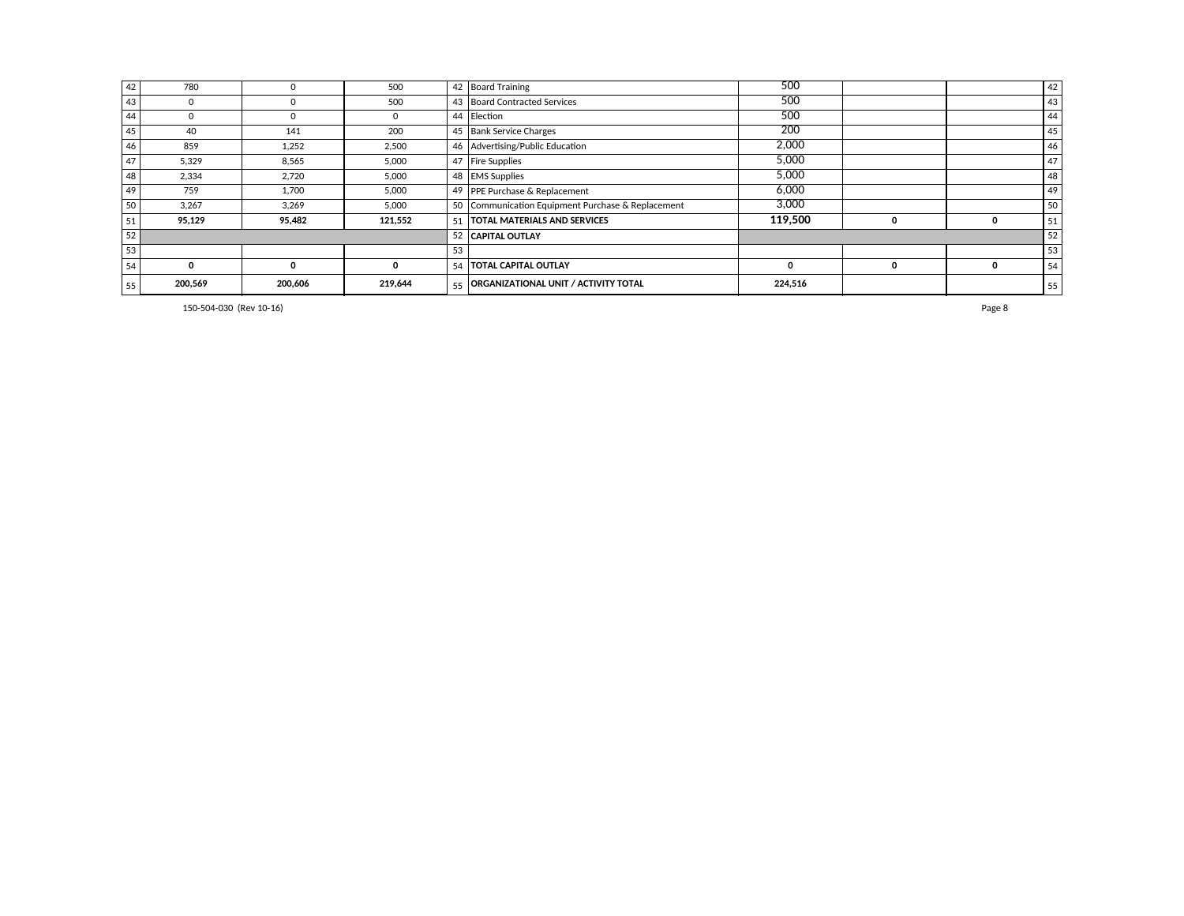| 42 | 780     |          | 500     |    | 42 Board Training                                 | 500     |   |   | 42 |
|----|---------|----------|---------|----|---------------------------------------------------|---------|---|---|----|
| 43 |         |          | 500     |    | 43 Board Contracted Services                      | 500     |   |   | 43 |
| 44 |         |          |         |    | 44 Election                                       | 500     |   |   | 44 |
| 45 | 40      | 141      | 200     |    | 45 Bank Service Charges                           | 200     |   |   | 45 |
| 46 | 859     | 1,252    | 2,500   |    | 46 Advertising/Public Education                   | 2,000   |   |   | 46 |
| 47 | 5.329   | 8.565    | 5,000   |    | 47   Fire Supplies                                | 5,000   |   |   | 47 |
| 48 | 2.334   | 2,720    | 5,000   |    | 48   EMS Supplies                                 | 5,000   |   |   | 48 |
| 49 | 759     | 1.700    | 5,000   |    | 49   PPE Purchase & Replacement                   | 6.000   |   |   | 49 |
| 50 | 3.267   | 3.269    | 5,000   |    | 50 Communication Equipment Purchase & Replacement | 3.000   |   |   | 50 |
| 51 | 95,129  | 95,482   | 121,552 | 51 | <b>TOTAL MATERIALS AND SERVICES</b>               | 119.500 | υ |   | 51 |
| 52 |         |          |         |    | 52 CAPITAL OUTLAY                                 |         |   |   | 52 |
| 53 |         |          |         | 53 |                                                   |         |   |   | 53 |
| 54 | O       | $\Omega$ |         | 54 | <b>TOTAL CAPITAL OUTLAY</b>                       |         | 0 | 0 | 54 |
| 55 | 200,569 | 200,606  | 219,644 | 55 | <b>ORGANIZATIONAL UNIT / ACTIVITY TOTAL</b>       | 224,516 |   |   | 55 |